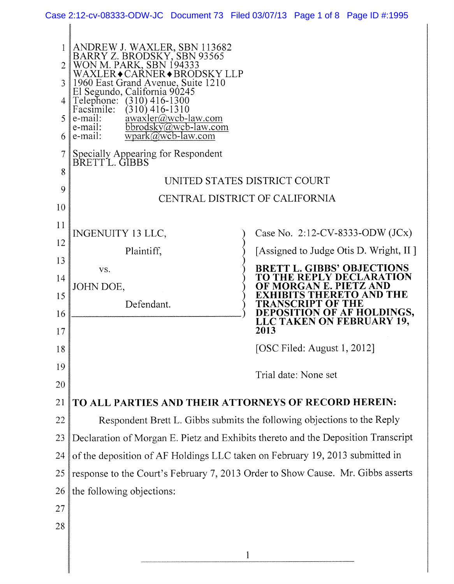|                |                                                                                        | Case 2:12-cv-08333-ODW-JC Document 73 Filed 03/07/13 Page 1 of 8 Page ID #:1995   |
|----------------|----------------------------------------------------------------------------------------|-----------------------------------------------------------------------------------|
|                |                                                                                        |                                                                                   |
| $\overline{2}$ | ANDREW J. WAXLER, SBN 113682<br>BARRY Z. BRODSKY, SBN 93565<br>WON M. PARK, SBN 194333 |                                                                                   |
|                | WAXLER◆CAŔNER◆BRODSKY LLP                                                              |                                                                                   |
| 3              | 1960 East Grand Avenue, Suite 1210<br>El Segundo, California 90245                     |                                                                                   |
| 4              | Telephone: (310) 416-1300<br>Facsimile:<br>$(310)$ 416-1310                            |                                                                                   |
| 5              | awaxler@wcb-law.com<br>bbrodsky@wcb-law.com<br>e-mail:<br>e-mail:                      |                                                                                   |
| 6              | e-mail:<br>$wpark@wcb-law.com$                                                         |                                                                                   |
| 7              | Specially Appearing for Respondent<br>BRETT L. GIBBS                                   |                                                                                   |
| 8              |                                                                                        | UNITED STATES DISTRICT COURT                                                      |
| 9              |                                                                                        | CENTRAL DISTRICT OF CALIFORNIA                                                    |
| 10             |                                                                                        |                                                                                   |
| 11             | <b>INGENUITY 13 LLC,</b>                                                               | Case No. 2:12-CV-8333-ODW $(JCx)$                                                 |
| 12             | Plaintiff,                                                                             | [Assigned to Judge Otis D. Wright, II]                                            |
| 13             | VS.                                                                                    | <b>BRETT L. GIBBS' OBJECTIONS</b>                                                 |
| 14             | JOHN DOE,                                                                              | TO THE REPLY DECLARATION<br>OF MORGAN E. PIETZ AND                                |
| 15             | Defendant.                                                                             | <b>XHIBITS THERETO AND THE</b><br><b>TRANSCRIPT OF THE</b>                        |
| 16             |                                                                                        | DEPOSITION OF AF HOLDINGS,<br>LLC TAKEN ON FEBRUARY 19,                           |
| 17             |                                                                                        | 2013                                                                              |
| 18             |                                                                                        | [OSC Filed: August 1, 2012]                                                       |
| 19             |                                                                                        | Trial date: None set                                                              |
| 20             |                                                                                        |                                                                                   |
| 21             |                                                                                        | TO ALL PARTIES AND THEIR ATTORNEYS OF RECORD HEREIN:                              |
| 22             |                                                                                        | Respondent Brett L. Gibbs submits the following objections to the Reply           |
| 23             |                                                                                        | Declaration of Morgan E. Pietz and Exhibits thereto and the Deposition Transcript |
| 24             |                                                                                        | of the deposition of AF Holdings LLC taken on February 19, 2013 submitted in      |
| 25             |                                                                                        | response to the Court's February 7, 2013 Order to Show Cause. Mr. Gibbs asserts   |
| 26             | the following objections:                                                              |                                                                                   |
| 27             |                                                                                        |                                                                                   |
| 28             |                                                                                        |                                                                                   |
|                |                                                                                        |                                                                                   |
|                |                                                                                        |                                                                                   |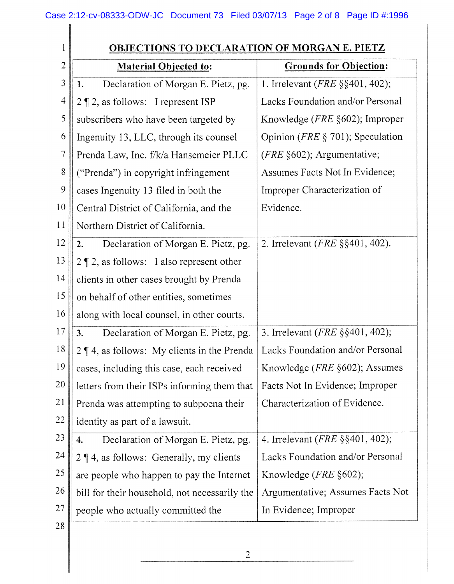| 1              | <b>OBJECTIONS TO DECLARATION OF MORGAN E. PIETZ</b> |                                             |
|----------------|-----------------------------------------------------|---------------------------------------------|
| $\overline{2}$ | <b>Material Objected to:</b>                        | <b>Grounds for Objection:</b>               |
| 3              | Declaration of Morgan E. Pietz, pg.<br>1.           | 1. Irrelevant ( $FRE$ §§401, 402);          |
| $\overline{4}$ | $2 \nvert 2$ , as follows: I represent ISP          | Lacks Foundation and/or Personal            |
| 5              | subscribers who have been targeted by               | Knowledge ( <i>FRE</i> §602); Improper      |
| 6              | Ingenuity 13, LLC, through its counsel              | Opinion ( <i>FRE</i> $\S$ 701); Speculation |
| 7              | Prenda Law, Inc. f/k/a Hansemeier PLLC              | ( <i>FRE</i> $§602$ ); Argumentative;       |
| 8              | ("Prenda") in copyright infringement                | Assumes Facts Not In Evidence;              |
| 9              | cases Ingenuity 13 filed in both the                | Improper Characterization of                |
| 10             | Central District of California, and the             | Evidence.                                   |
| 11             | Northern District of California.                    |                                             |
| 12             | Declaration of Morgan E. Pietz, pg.<br>2.           | 2. Irrelevant ( <i>FRE</i> §§401, 402).     |
| 13             | $2 \nvert 2$ , as follows: I also represent other   |                                             |
| 14             | clients in other cases brought by Prenda            |                                             |
| 15             | on behalf of other entities, sometimes              |                                             |
| 16             | along with local counsel, in other courts.          |                                             |
| 17             | Declaration of Morgan E. Pietz, pg.<br>3.           | 3. Irrelevant ( <i>FRE</i> §§401, 402);     |
| 18             | $2 \nvert 4$ , as follows: My clients in the Prenda | Lacks Foundation and/or Personal            |
| 19             | cases, including this case, each received           | Knowledge ( <i>FRE</i> §602); Assumes       |
| <b>20</b>      | letters from their ISPs informing them that         | Facts Not In Evidence; Improper             |
| 21             | Prenda was attempting to subpoena their             | Characterization of Evidence.               |
| 22             | identity as part of a lawsuit.                      |                                             |
| 23             | Declaration of Morgan E. Pietz, pg.<br>4.           | 4. Irrelevant ( <i>FRE</i> §§401, 402);     |
| 24             | $2 \nvert 4$ , as follows: Generally, my clients    | Lacks Foundation and/or Personal            |
| 25             | are people who happen to pay the Internet           | Knowledge ( $FRE$ §602);                    |
| <b>26</b>      | bill for their household, not necessarily the       | Argumentative; Assumes Facts Not            |
| 27             | people who actually committed the                   | In Evidence; Improper                       |
| 28             |                                                     |                                             |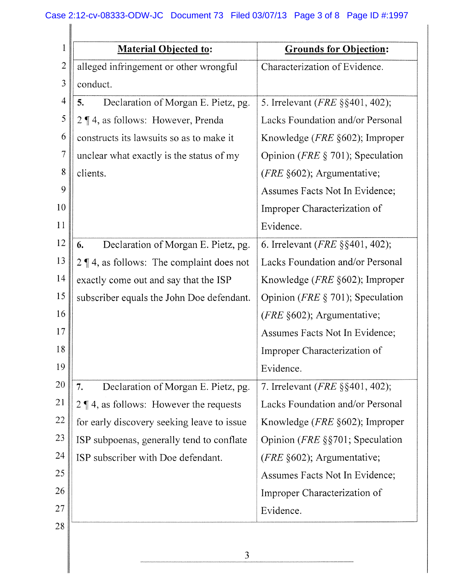| 1              | <b>Material Objected to:</b>                      | <b>Grounds for Objection:</b>               |
|----------------|---------------------------------------------------|---------------------------------------------|
| $\overline{2}$ | alleged infringement or other wrongful            | Characterization of Evidence.               |
| 3              | conduct.                                          |                                             |
| $\overline{4}$ | Declaration of Morgan E. Pietz, pg.<br>5.         | 5. Irrelevant ( <i>FRE</i> §§401, 402);     |
| 5              | $2 \nvert 4$ , as follows: However, Prenda        | Lacks Foundation and/or Personal            |
| 6              | constructs its lawsuits so as to make it          | Knowledge ( <i>FRE</i> §602); Improper      |
| $\overline{7}$ | unclear what exactly is the status of my          | Opinion ( <i>FRE</i> $\S$ 701); Speculation |
| 8              | clients.                                          | ( <i>FRE</i> $§602$ ); Argumentative;       |
| 9              |                                                   | Assumes Facts Not In Evidence;              |
| 10             |                                                   | Improper Characterization of                |
| 11             |                                                   | Evidence.                                   |
| 12             | Declaration of Morgan E. Pietz, pg.<br>6.         | 6. Irrelevant ( <i>FRE</i> $\S$ §401, 402); |
| 13             | $2 \nvert 4$ , as follows: The complaint does not | Lacks Foundation and/or Personal            |
| 14             | exactly come out and say that the ISP             | Knowledge ( <i>FRE</i> §602); Improper      |
| 15             | subscriber equals the John Doe defendant.         | Opinion ( <i>FRE</i> $\S$ 701); Speculation |
| 16             |                                                   | ( <i>FRE</i> $§602$ ); Argumentative;       |
| 17             |                                                   | Assumes Facts Not In Evidence;              |
| 18             |                                                   | Improper Characterization of                |
| 19             |                                                   | Evidence.                                   |
| 20             | Declaration of Morgan E. Pietz, pg.<br>7.         | 7. Irrelevant ( <i>FRE</i> §§401, 402);     |
| 21             | $2 \nvert 4$ , as follows: However the requests   | Lacks Foundation and/or Personal            |
| 22             | for early discovery seeking leave to issue        | Knowledge ( <i>FRE</i> §602); Improper      |
| 23             | ISP subpoenas, generally tend to conflate         | Opinion ( <i>FRE</i> $\S$ §701; Speculation |
| 24             | ISP subscriber with Doe defendant.                | ( $FRE$ §602); Argumentative;               |
| 25             |                                                   | Assumes Facts Not In Evidence;              |
| 26             |                                                   | Improper Characterization of                |
| 27             |                                                   | Evidence.                                   |
| 28             |                                                   |                                             |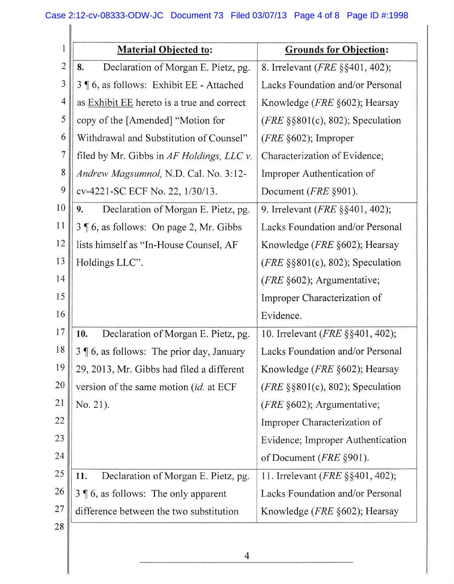| 1              | <b>Material Objected to:</b>                        | <b>Grounds for Objection:</b>            |
|----------------|-----------------------------------------------------|------------------------------------------|
| $\overline{c}$ | 8.<br>Declaration of Morgan E. Pietz, pg.           | 8. Irrelevant ( <i>FRE</i> §§401, 402);  |
| $\mathfrak{Z}$ | 3   6, as follows: Exhibit EE - Attached            | Lacks Foundation and/or Personal         |
| 4              | as <b>Exhibit EE</b> hereto is a true and correct   | Knowledge ( <i>FRE</i> §602); Hearsay    |
| 5              | copy of the [Amended] "Motion for                   | $(FRE \S \S 801(c), 802)$ ; Speculation  |
| 6              | Withdrawal and Substitution of Counsel"             | $(FRE \S 602)$ ; Improper                |
| $\overline{7}$ | filed by Mr. Gibbs in AF Holdings, LLC v.           | Characterization of Evidence;            |
| 8              | Andrew Magsumnol, N.D. Cal. No. 3:12-               | Improper Authentication of               |
| $\mathbf{9}$   | cv-4221-SC ECF No. 22, 1/30/13.                     | Document ( <i>FRE</i> §901).             |
| 10             | Declaration of Morgan E. Pietz, pg.<br>9.           | 9. Irrelevant ( <i>FRE</i> §§401, 402);  |
| 11             | 3   6, as follows: On page 2, Mr. Gibbs             | Lacks Foundation and/or Personal         |
| 12             | lists himself as "In-House Counsel, AF              | Knowledge ( <i>FRE</i> §602); Hearsay    |
| 13             | Holdings LLC".                                      | (FRE $\S$ §801(c), 802); Speculation     |
| 14             |                                                     | (FRE §602); Argumentative;               |
| 15             |                                                     | Improper Characterization of             |
| 16             |                                                     | Evidence.                                |
| 17             | Declaration of Morgan E. Pietz, pg.<br>10.          | 10. Irrelevant ( <i>FRE</i> §§401, 402); |
| 18             | <b>16</b> , as follows: The prior day, January<br>3 | Lacks Foundation and/or Personal         |
| 19             | 29, 2013, Mr. Gibbs had filed a different           | Knowledge ( <i>FRE</i> §602); Hearsay    |
| 20             | version of the same motion (id. at ECF              | $(FRE \S \S 801(c), 802)$ ; Speculation  |
| 21             | No. 21).                                            | ( $FRE$ §602); Argumentative;            |
| 22             |                                                     | Improper Characterization of             |
| 23             |                                                     | Evidence; Improper Authentication        |
| 24             |                                                     | of Document ( <i>FRE</i> §901).          |
| 25             | 11.<br>Declaration of Morgan E. Pietz, pg.          | 11. Irrelevant ( <i>FRE</i> §§401, 402); |
| <b>26</b>      | $3 \nvert 6$ , as follows: The only apparent        | Lacks Foundation and/or Personal         |
| 27             | difference between the two substitution             | Knowledge ( <i>FRE</i> §602); Hearsay    |
| 28             |                                                     |                                          |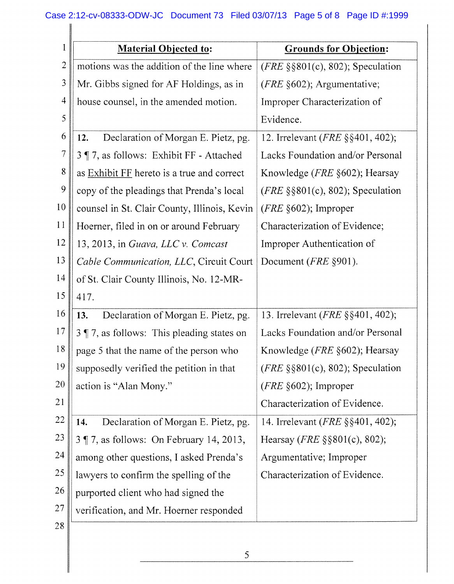## Case 2:12-cv-08333-ODW-JC Document 73 Filed 03/07/13 Page 5 of 8 Page ID #:1999

| 1              | <b>Material Objected to:</b>                          | <b>Grounds for Objection:</b>            |
|----------------|-------------------------------------------------------|------------------------------------------|
| $\overline{c}$ | motions was the addition of the line where            | $(FRE \S \S 801(c), 802)$ ; Speculation  |
| $\mathfrak{Z}$ | Mr. Gibbs signed for AF Holdings, as in               | ( <i>FRE</i> $§602$ ); Argumentative;    |
| 4              | house counsel, in the amended motion.                 | Improper Characterization of             |
| 5              |                                                       | Evidence.                                |
| 6              | Declaration of Morgan E. Pietz, pg.<br>12.            | 12. Irrelevant ( <i>FRE</i> §§401, 402); |
| $\overline{7}$ | 3 ¶ 7, as follows: Exhibit FF - Attached              | Lacks Foundation and/or Personal         |
| $\,$ $\,$      | as <b>Exhibit FF</b> hereto is a true and correct     | Knowledge ( <i>FRE</i> §602); Hearsay    |
| 9              | copy of the pleadings that Prenda's local             | $(FRE \S \S 801(c), 802)$ ; Speculation  |
| 10             | counsel in St. Clair County, Illinois, Kevin          | $(FRE \S 602)$ ; Improper                |
| 11             | Hoerner, filed in on or around February               | Characterization of Evidence;            |
| 12             | 13, 2013, in Guava, LLC v. Comcast                    | Improper Authentication of               |
| 13             | Cable Communication, LLC, Circuit Court               | Document ( <i>FRE</i> §901).             |
| 14             | of St. Clair County Illinois, No. 12-MR-              |                                          |
| 15             | 417.                                                  |                                          |
| 16             | Declaration of Morgan E. Pietz, pg.<br>13.            | 13. Irrelevant (FRE §§401, 402);         |
| 17             | $3$ $\sqrt{ }$ 7, as follows: This pleading states on | Lacks Foundation and/or Personal         |
| 18             | page 5 that the name of the person who                | Knowledge (FRE §602); Hearsay            |
| 19             | supposedly verified the petition in that              | $(FRE \S \S 801(c), 802)$ ; Speculation  |
| 20             | action is "Alan Mony."                                | $(FRE \S 602)$ ; Improper                |
| 21             |                                                       | Characterization of Evidence.            |
| 22             | Declaration of Morgan E. Pietz, pg.<br>14.            | 14. Irrelevant ( <i>FRE</i> §§401, 402); |
| 23             | 3 ¶ 7, as follows: On February 14, 2013,              | Hearsay ( <i>FRE</i> $\S$ §801(c), 802); |
| 24             | among other questions, I asked Prenda's               | Argumentative; Improper                  |
| 25             | lawyers to confirm the spelling of the                | Characterization of Evidence.            |
| 26             | purported client who had signed the                   |                                          |
| 27             | verification, and Mr. Hoerner responded               |                                          |
| 28             |                                                       |                                          |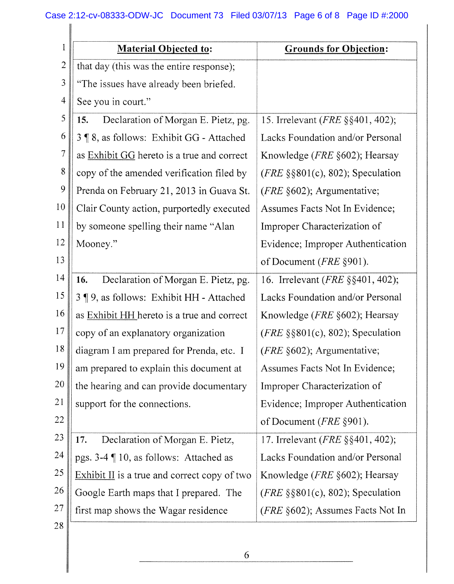## Case 2:12-cv-08333-ODW-JC Document 73 Filed 03/07/13 Page 6 of 8 Page ID #:2000

| l              | <b>Material Objected to:</b>                      | <b>Grounds for Objection:</b>                |
|----------------|---------------------------------------------------|----------------------------------------------|
| $\overline{c}$ | that day (this was the entire response);          |                                              |
| 3              | "The issues have already been briefed.            |                                              |
| $\overline{4}$ | See you in court."                                |                                              |
| 5              | Declaration of Morgan E. Pietz, pg.<br>15.        | 15. Irrelevant ( <i>FRE</i> §§401, 402);     |
| 6              | 3   8, as follows: Exhibit GG - Attached          | Lacks Foundation and/or Personal             |
| $\overline{7}$ | as <b>Exhibit GG</b> hereto is a true and correct | Knowledge ( <i>FRE</i> §602); Hearsay        |
| $\,8$          | copy of the amended verification filed by         | ( <i>FRE</i> $\S$ §801(c), 802); Speculation |
| 9              | Prenda on February 21, 2013 in Guava St.          | (FRE §602); Argumentative;                   |
| 10             | Clair County action, purportedly executed         | Assumes Facts Not In Evidence;               |
| 11             | by someone spelling their name "Alan              | Improper Characterization of                 |
| 12             | Mooney."                                          | Evidence; Improper Authentication            |
| 13             |                                                   | of Document ( <i>FRE</i> §901).              |
| 14             | Declaration of Morgan E. Pietz, pg.<br>16.        | 16. Irrelevant ( <i>FRE</i> §§401, 402);     |
| 15             | 3 ¶ 9, as follows: Exhibit HH - Attached          | Lacks Foundation and/or Personal             |
| 16             | as Exhibit HH hereto is a true and correct        | Knowledge ( <i>FRE</i> §602); Hearsay        |
| $17$           | copy of an explanatory organization               | (FRE $\S$ §801(c), 802); Speculation         |
| 18             | diagram I am prepared for Prenda, etc. I          | ( <i>FRE</i> §602); Argumentative;           |
| 19             | am prepared to explain this document at           | Assumes Facts Not In Evidence;               |
| 20             | the hearing and can provide documentary           | Improper Characterization of                 |
| 21             | support for the connections.                      | Evidence; Improper Authentication            |
| 22             |                                                   | of Document ( <i>FRE</i> §901).              |
| 23             | Declaration of Morgan E. Pietz,<br>17.            | 17. Irrelevant ( <i>FRE</i> §§401, 402);     |
| 24             | pgs. 3-4 ¶ 10, as follows: Attached as            | Lacks Foundation and/or Personal             |
| 25             | Exhibit II is a true and correct copy of two      | Knowledge ( <i>FRE</i> §602); Hearsay        |
| 26             | Google Earth maps that I prepared. The            | $(FRE \S \S 801(c), 802)$ ; Speculation      |
| 27             | first map shows the Wagar residence               | (FRE §602); Assumes Facts Not In             |
| 28             |                                                   |                                              |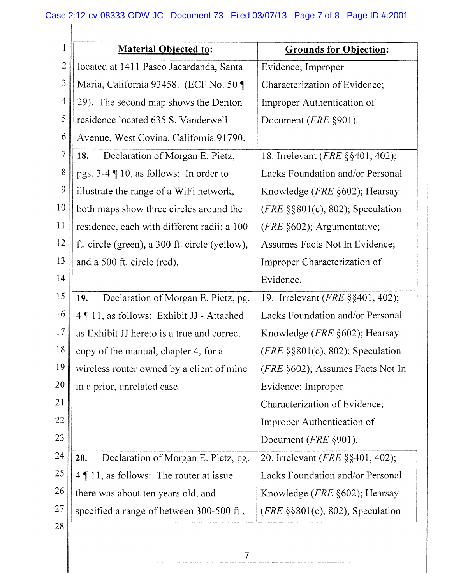| 1              | <b>Material Objected to:</b>                        | <b>Grounds for Objection:</b>                |
|----------------|-----------------------------------------------------|----------------------------------------------|
| $\overline{c}$ | located at 1411 Paseo Jacardanda, Santa             | Evidence; Improper                           |
| $\mathfrak{Z}$ | Maria, California 93458. (ECF No. 50 ¶              | Characterization of Evidence;                |
| $\overline{4}$ | 29). The second map shows the Denton                | Improper Authentication of                   |
| 5              | residence located 635 S. Vanderwell                 | Document ( <i>FRE</i> §901).                 |
| 6              | Avenue, West Covina, California 91790.              |                                              |
| $\overline{7}$ | Declaration of Morgan E. Pietz,<br>18.              | 18. Irrelevant ( <i>FRE</i> §§401, 402);     |
| 8              | pgs. 3-4 ¶ 10, as follows: In order to              | Lacks Foundation and/or Personal             |
| 9              | illustrate the range of a WiFi network,             | Knowledge ( <i>FRE</i> §602); Hearsay        |
| 10             | both maps show three circles around the             | $(FRE \S \S 801(c), 802)$ ; Speculation      |
| 11             | residence, each with different radii: a 100         | ( $FRE$ §602); Argumentative;                |
| 12             | ft. circle (green), a 300 ft. circle (yellow),      | Assumes Facts Not In Evidence;               |
| 13             | and a 500 ft. circle (red).                         | Improper Characterization of                 |
| 14             |                                                     | Evidence.                                    |
| 15             | Declaration of Morgan E. Pietz, pg.<br>19.          | 19. Irrelevant ( <i>FRE</i> §§401, 402);     |
| 16             | 4   11, as follows: Exhibit JJ - Attached           | Lacks Foundation and/or Personal             |
| 17             | as Exhibit JJ hereto is a true and correct          | Knowledge ( <i>FRE</i> §602); Hearsay        |
| 18             | copy of the manual, chapter 4, for a                | $(FRE \S \S 801(c), 802)$ ; Speculation      |
| 19             | wireless router owned by a client of mine           | (FRE §602); Assumes Facts Not In             |
| <b>20</b>      | in a prior, unrelated case.                         | Evidence; Improper                           |
| 21             |                                                     | Characterization of Evidence;                |
| 22             |                                                     | Improper Authentication of                   |
| 23             |                                                     | Document ( <i>FRE</i> §901).                 |
| 24             | Declaration of Morgan E. Pietz, pg.<br>20.          | 20. Irrelevant ( <i>FRE</i> §§401, 402);     |
| 25             | $4 \nparallel 11$ , as follows: The router at issue | Lacks Foundation and/or Personal             |
| 26             | there was about ten years old, and                  | Knowledge ( $FRE$ §602); Hearsay             |
| 27             | specified a range of between 300-500 ft.,           | ( <i>FRE</i> $\S$ §801(c), 802); Speculation |
| 28             |                                                     |                                              |